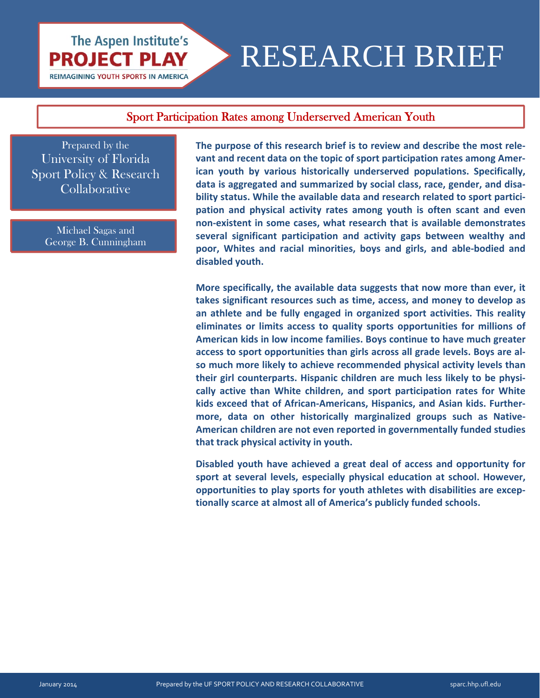# $\frac{1}{\sqrt{2}}$ **PROJECT PLAY > RESEARCH BRIEF**

## Sport Participation Rates among Underserved American Youth

Prepared by the University of Florida Sport Policy & Research **Collaborative** 

> Michael Sagas and George B. Cunningham

**The purpose of this research brief is to review and describe the most rele‐ vant and recent data on the topic of sport participation rates among Amer‐ ican youth by various historically underserved populations. Specifically, data is aggregated and summarized by social class, race, gender, and disa‐ bility status. While the available data and research related to sport partici‐ pation and physical activity rates among youth is often scant and even non‐existent in some cases, what research that is available demonstrates several significant participation and activity gaps between wealthy and poor, Whites and racial minorities, boys and girls, and able‐bodied and disabled youth.** 

**More specifically, the available data suggests that now more than ever, it takes significant resources such as time, access, and money to develop as an athlete and be fully engaged in organized sport activities. This reality eliminates or limits access to quality sports opportunities for millions of American kids in low income families. Boys continue to have much greater access to sport opportunities than girls across all grade levels. Boys are al‐ so much more likely to achieve recommended physical activity levels than their girl counterparts. Hispanic children are much less likely to be physi‐ cally active than White children, and sport participation rates for White kids exceed that of African‐Americans, Hispanics, and Asian kids. Further‐ more, data on other historically marginalized groups such as Native‐ American children are not even reported in governmentally funded studies that track physical activity in youth.** 

**Disabled youth have achieved a great deal of access and opportunity for sport at several levels, especially physical education at school. However, opportunities to play sports for youth athletes with disabilities are excep‐ tionally scarce at almost all of America's publicly funded schools.**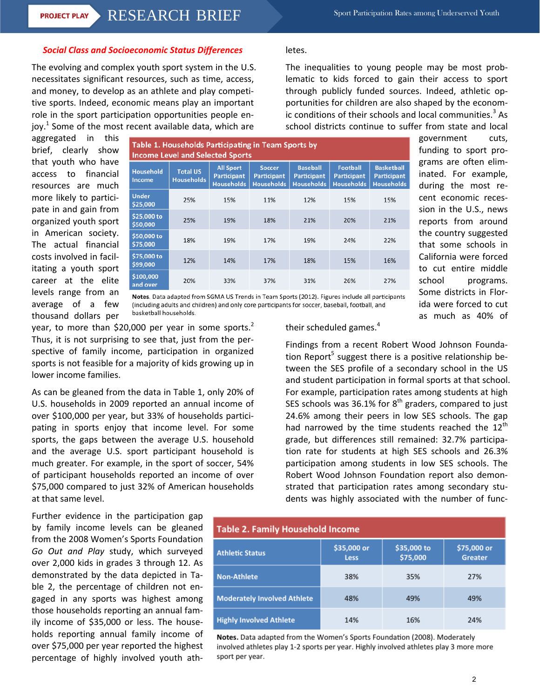government cuts, funding to sport pro‐ grams are often elim‐ inated. For example, during the most re‐ cent economic reces‐ sion in the U.S., news reports from around the country suggested that some schools in California were forced to cut entire middle school programs. Some districts in Flor‐ ida were forced to cut as much as 40% of

#### *Social Class and Socioeconomic Status Differences*

The evolving and complex youth sport system in the U.S. necessitates significant resources, such as time, access, and money, to develop as an athlete and play competi‐ tive sports. Indeed, economic means play an important role in the sport participation opportunities people en‐ joy.<sup>1</sup> Some of the most recent available data, which are

letes.

The inequalities to young people may be most prob‐ lematic to kids forced to gain their access to sport through publicly funded sources. Indeed, athletic op‐ portunities for children are also shaped by the econom‐ ic conditions of their schools and local communities.<sup>3</sup> As school districts continue to suffer from state and local

aggregated in this brief, clearly show that youth who have access to financial resources are much more likely to partici‐ pate in and gain from organized youth sport in American society. The actual financial costs involved in facil‐ itating a youth sport career at the elite levels range from an average of a few thousand dollars per

| Table 1. Households Participating in Team Sports by<br><b>Income Level and Selected Sports</b> |                                      |                                                             |                                                          |                                                            |                                                            |                                                              |  |  |
|------------------------------------------------------------------------------------------------|--------------------------------------|-------------------------------------------------------------|----------------------------------------------------------|------------------------------------------------------------|------------------------------------------------------------|--------------------------------------------------------------|--|--|
| <b>Household</b><br>Income                                                                     | <b>Total US</b><br><b>Households</b> | <b>All Sport</b><br><b>Participant</b><br><b>Households</b> | <b>Soccer</b><br><b>Participant</b><br><b>Households</b> | <b>Baseball</b><br><b>Participant</b><br><b>Households</b> | <b>Football</b><br><b>Participant</b><br><b>Households</b> | <b>Basketball</b><br><b>Participant</b><br><b>Households</b> |  |  |
| <b>Under</b><br>\$25,000                                                                       | 25%                                  | 15%                                                         | 11%                                                      | 12%                                                        | 15%                                                        | 15%                                                          |  |  |
| \$25,000 to<br>\$50,000                                                                        | 25%                                  | 19%                                                         | 18%                                                      | 21%                                                        | 20%                                                        | 21%                                                          |  |  |
| \$50,000 to<br>\$75,000                                                                        | 18%                                  | 19%                                                         | 17%                                                      | 19%                                                        | 24%                                                        | 22%                                                          |  |  |
| \$75,000 to<br>\$99,000                                                                        | 12%                                  | 14%                                                         | 17%                                                      | 18%                                                        | 15%                                                        | 16%                                                          |  |  |
| \$100,000<br>and over                                                                          | 20%                                  | 33%                                                         | 37%                                                      | 31%                                                        | 26%                                                        | 27%                                                          |  |  |

Notes. Data adapted from SGMA US Trends in Team Sports (2012). Figures include all participants (including adults and children) and only core participants for soccer, baseball, football, and basketball households.

year, to more than \$20,000 per year in some sports.<sup>2</sup> Thus, it is not surprising to see that, just from the per‐ spective of family income, participation in organized sports is not feasible for a majority of kids growing up in lower income families.

As can be gleaned from the data in Table 1, only 20% of U.S. households in 2009 reported an annual income of over \$100,000 per year, but 33% of households partici‐ pating in sports enjoy that income level. For some sports, the gaps between the average U.S. household and the average U.S. sport participant household is much greater. For example, in the sport of soccer, 54% of participant households reported an income of over \$75,000 compared to just 32% of American households at that same level.

Further evidence in the participation gap by family income levels can be gleaned from the 2008 Women's Sports Foundation *Go Out and Play* study, which surveyed over 2,000 kids in grades 3 through 12. As demonstrated by the data depicted in Ta‐ ble 2, the percentage of children not engaged in any sports was highest among those households reporting an annual fam‐ ily income of \$35,000 or less. The house‐ holds reporting annual family income of over \$75,000 per year reported the highest percentage of highly involved youth ath‐

their scheduled games. $4$ 

Findings from a recent Robert Wood Johnson Founda‐ tion Report<sup>5</sup> suggest there is a positive relationship between the SES profile of a secondary school in the US and student participation in formal sports at that school. For example, participation rates among students at high SES schools was 36.1% for  $8<sup>th</sup>$  graders, compared to just 24.6% among their peers in low SES schools. The gap had narrowed by the time students reached the  $12<sup>th</sup>$ grade, but differences still remained: 32.7% participa‐ tion rate for students at high SES schools and 26.3% participation among students in low SES schools. The Robert Wood Johnson Foundation report also demon‐ strated that participation rates among secondary stu‐ dents was highly associated with the number of func‐

| Table 2. Family Household Income |  |  |  |
|----------------------------------|--|--|--|
|----------------------------------|--|--|--|

| <b>Athletic Status</b>             | \$35,000 or<br><b>Less</b> | \$35,000 to<br>\$75,000 | \$75,000 or<br><b>Greater</b> |
|------------------------------------|----------------------------|-------------------------|-------------------------------|
| <b>Non-Athlete</b>                 | 38%                        | 35%                     | 27%                           |
| <b>Moderately Involved Athlete</b> | 48%                        | 49%                     | 49%                           |
| <b>Highly Involved Athlete</b>     | 14%                        | 16%                     | 24%                           |

Notes. Data adapted from the Women's Sports Foundation (2008). Moderately involved athletes play 1-2 sports per year. Highly involved athletes play 3 more more sport per year.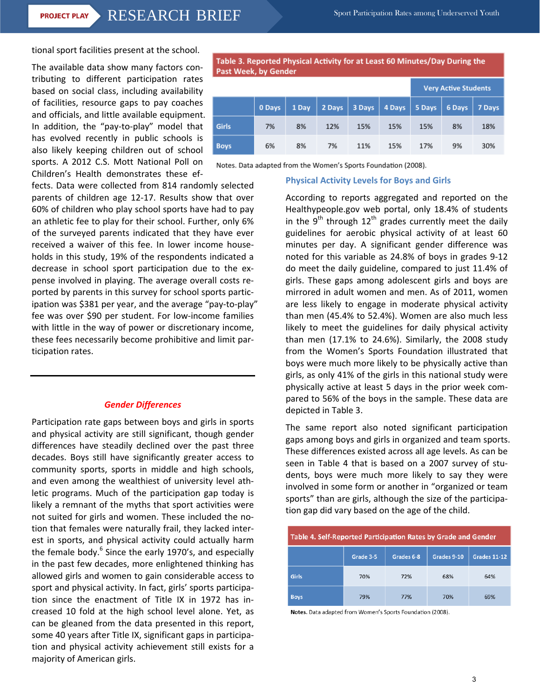tional sport facilities present at the school.

The available data show many factors con‐ tributing to different participation rates based on social class, including availability of facilities, resource gaps to pay coaches and officials, and little available equipment. In addition, the "pay‐to‐play" model that has evolved recently in public schools is also likely keeping children out of school sports. A 2012 C.S. Mott National Poll on Children's Health demonstrates these ef‐

fects. Data were collected from 814 randomly selected parents of children age 12‐17. Results show that over 60% of children who play school sports have had to pay an athletic fee to play for their school. Further, only 6% of the surveyed parents indicated that they have ever received a waiver of this fee. In lower income house‐ holds in this study, 19% of the respondents indicated a decrease in school sport participation due to the ex‐ pense involved in playing. The average overall costs re‐ ported by parents in this survey for school sports partic‐ ipation was \$381 per year, and the average "pay‐to‐play" fee was over \$90 per student. For low-income families with little in the way of power or discretionary income, these fees necessarily become prohibitive and limit par‐ ticipation rates.

#### *Gender Differences*

Participation rate gaps between boys and girls in sports and physical activity are still significant, though gender differences have steadily declined over the past three decades. Boys still have significantly greater access to community sports, sports in middle and high schools, and even among the wealthiest of university level ath‐ letic programs. Much of the participation gap today is likely a remnant of the myths that sport activities were not suited for girls and women. These included the no‐ tion that females were naturally frail, they lacked inter‐ est in sports, and physical activity could actually harm the female body.<sup>6</sup> Since the early 1970's, and especially in the past few decades, more enlightened thinking has allowed girls and women to gain considerable access to sport and physical activity. In fact, girls' sports participation since the enactment of Title IX in 1972 has in‐ creased 10 fold at the high school level alone. Yet, as can be gleaned from the data presented in this report, some 40 years after Title IX, significant gaps in participa‐ tion and physical activity achievement still exists for a majority of American girls.

Table 3. Reported Physical Activity for at Least 60 Minutes/Day During the Past Week, by Gender

|       |    |    |                                                             |     |     |     | <b>Very Active Students</b> |        |
|-------|----|----|-------------------------------------------------------------|-----|-----|-----|-----------------------------|--------|
|       |    |    | 0 Days   1 Day   2 Days   3 Days   4 Days   5 Days   6 Days |     |     |     |                             | 7 Days |
| iirls | 7% | 8% | 12%                                                         | 15% | 15% | 15% | 8%                          | 18%    |
| loys  | 6% | 8% | 7%                                                          | 11% | 15% | 17% | 9%                          | 30%    |

Notes. Data adapted from the Women's Sports Foundation (2008).

#### **Physical Activity Levels for Boys and Girls**

According to reports aggregated and reported on the Healthypeople.gov web portal, only 18.4% of students in the 9<sup>th</sup> through 12<sup>th</sup> grades currently meet the daily guidelines for aerobic physical activity of at least 60 minutes per day. A significant gender difference was noted for this variable as 24.8% of boys in grades 9‐12 do meet the daily guideline, compared to just 11.4% of girls. These gaps among adolescent girls and boys are mirrored in adult women and men. As of 2011, women are less likely to engage in moderate physical activity than men (45.4% to 52.4%). Women are also much less likely to meet the guidelines for daily physical activity than men (17.1% to 24.6%). Similarly, the 2008 study from the Women's Sports Foundation illustrated that boys were much more likely to be physically active than girls, as only 41% of the girls in this national study were physically active at least 5 days in the prior week com‐ pared to 56% of the boys in the sample. These data are depicted in Table 3.

The same report also noted significant participation gaps among boys and girls in organized and team sports. These differences existed across all age levels. As can be seen in Table 4 that is based on a 2007 survey of students, boys were much more likely to say they were involved in some form or another in "organized or team sports" than are girls, although the size of the participation gap did vary based on the age of the child.

| Table 4. Self-Reported Participation Rates by Grade and Gender |           |            |             |              |  |  |  |
|----------------------------------------------------------------|-----------|------------|-------------|--------------|--|--|--|
|                                                                | Grade 3-5 | Grades 6-8 | Grades 9-10 | Grades 11-12 |  |  |  |
| <b>Girls</b>                                                   | 70%       | 72%        | 68%         | 64%          |  |  |  |
| <b>Boys</b>                                                    | 79%       | 77%        | 70%         | 69%          |  |  |  |

Notes. Data adapted from Women's Sports Foundation (2008).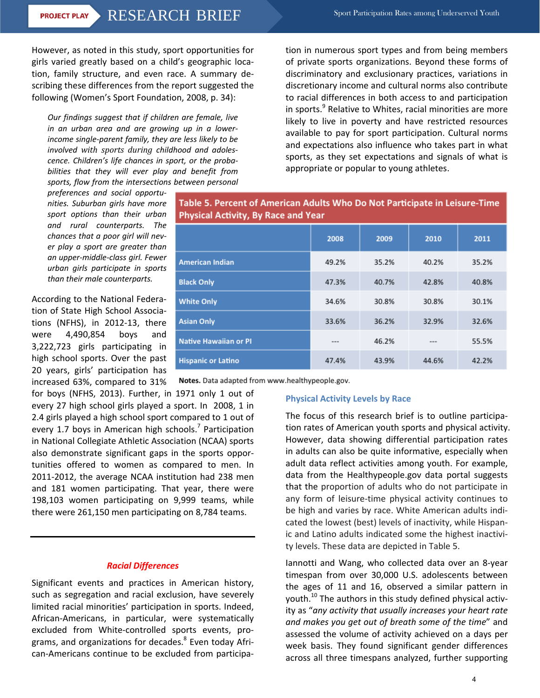However, as noted in this study, sport opportunities for girls varied greatly based on a child's geographic loca‐ tion, family structure, and even race. A summary de‐ scribing these differences from the report suggested the following (Women's Sport Foundation, 2008, p. 34):

*Our findings suggest that if children are female, live in an urban area and are growing up in a lower‐ income single‐parent family, they are less likely to be involved with sports during childhood and adoles‐ cence. Children's life chances in sport, or the proba‐ bilities that they will ever play and benefit from sports, flow from the intersections between personal*

tion in numerous sport types and from being members of private sports organizations. Beyond these forms of discriminatory and exclusionary practices, variations in discretionary income and cultural norms also contribute to racial differences in both access to and participation in sports.<sup>9</sup> Relative to Whites, racial minorities are more likely to live in poverty and have restricted resources available to pay for sport participation. Cultural norms and expectations also influence who takes part in what sports, as they set expectations and signals of what is appropriate or popular to young athletes.

*preferences and social opportu‐ nities. Suburban girls have more sport options than their urban and rural counterparts. The chances that a poor girl will nev‐ er play a sport are greater than an upper‐middle‐class girl. Fewer urban girls participate in sports than their male counterparts.* 

According to the National Federa‐ tion of State High School Associa‐ tions (NFHS), in 2012‐13, there were 4,490,854 boys and 3,222,723 girls participating in high school sports. Over the past 20 years, girls' participation has increased 63%, compared to 31% Table 5. Percent of American Adults Who Do Not Participate in Leisure-Time **Physical Activity, By Race and Year** 

|                              | 2008    | 2009  | 2010    | 2011  |
|------------------------------|---------|-------|---------|-------|
| <b>American Indian</b>       | 49.2%   | 35.2% | 40.2%   | 35.2% |
| <b>Black Only</b>            | 47.3%   | 40.7% | 42.8%   | 40.8% |
| <b>White Only</b>            | 34.6%   | 30.8% | 30.8%   | 30.1% |
| <b>Asian Only</b>            | 33.6%   | 36.2% | 32.9%   | 32.6% |
| <b>Native Hawaiian or PI</b> | $- - -$ | 46.2% | $- - -$ | 55.5% |
| <b>Hispanic or Latino</b>    | 47.4%   | 43.9% | 44.6%   | 42.2% |

Notes. Data adapted from www.healthypeople.gov.

#### **Physical Activity Levels by Race**

The focus of this research brief is to outline participa‐ tion rates of American youth sports and physical activity. However, data showing differential participation rates in adults can also be quite informative, especially when adult data reflect activities among youth. For example, data from the Healthypeople.gov data portal suggests that the proportion of adults who do not participate in any form of leisure‐time physical activity continues to be high and varies by race. White American adults indicated the lowest (best) levels of inactivity, while Hispan‐ ic and Latino adults indicated some the highest inactivi‐ ty levels. These data are depicted in Table 5.

> Iannotti and Wang, who collected data over an 8‐year timespan from over 30,000 U.S. adolescents between the ages of 11 and 16, observed a similar pattern in youth.<sup>10</sup> The authors in this study defined physical activity as "*any activity that usually increases your heart rate and makes you get out of breath some of the time*" and assessed the volume of activity achieved on a days per week basis. They found significant gender differences across all three timespans analyzed, further supporting

for boys (NFHS, 2013). Further, in 1971 only 1 out of every 27 high school girls played a sport. In 2008, 1 in 2.4 girls played a high school sport compared to 1 out of every 1.7 boys in American high schools.<sup>7</sup> Participation in National Collegiate Athletic Association (NCAA) sports also demonstrate significant gaps in the sports oppor‐ tunities offered to women as compared to men. In 2011‐2012, the average NCAA institution had 238 men and 181 women participating. That year, there were 198,103 women participating on 9,999 teams, while there were 261,150 men participating on 8,784 teams.

### *Racial Differences*

Significant events and practices in American history, such as segregation and racial exclusion, have severely limited racial minorities' participation in sports. Indeed, African‐Americans, in particular, were systematically excluded from White-controlled sports events, programs, and organizations for decades.<sup>8</sup> Even today African‐Americans continue to be excluded from participa‐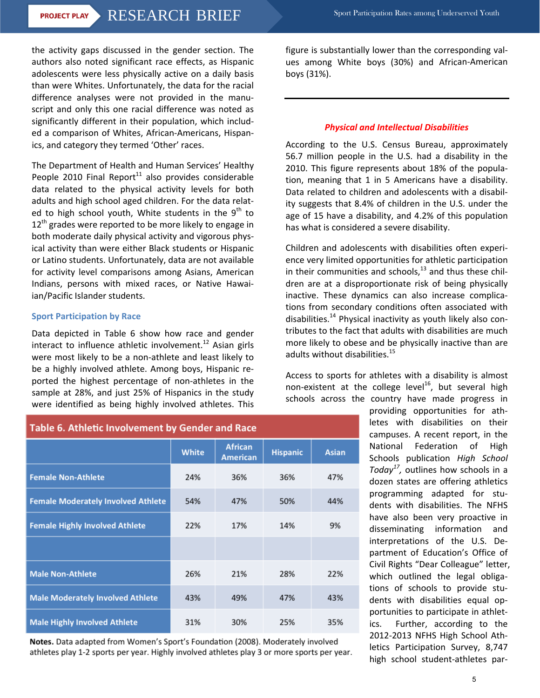the activity gaps discussed in the gender section. The authors also noted significant race effects, as Hispanic adolescents were less physically active on a daily basis than were Whites. Unfortunately, the data for the racial difference analyses were not provided in the manu‐ script and only this one racial difference was noted as significantly different in their population, which includ‐ ed a comparison of Whites, African‐Americans, Hispan‐ ics, and category they termed 'Other' races.

The Department of Health and Human Services' Healthy People 2010 Final Report $^{11}$  also provides considerable data related to the physical activity levels for both adults and high school aged children. For the data relat‐ ed to high school youth, White students in the  $9<sup>th</sup>$  to  $12<sup>th</sup>$  grades were reported to be more likely to engage in both moderate daily physical activity and vigorous phys‐ ical activity than were either Black students or Hispanic or Latino students. Unfortunately, data are not available for activity level comparisons among Asians, American Indians, persons with mixed races, or Native Hawai‐ ian/Pacific Islander students.

#### **Sport Participation by Race**

Data depicted in Table 6 show how race and gender interact to influence athletic involvement.<sup>12</sup> Asian girls were most likely to be a non‐athlete and least likely to be a highly involved athlete. Among boys, Hispanic re‐ ported the highest percentage of non‐athletes in the sample at 28%, and just 25% of Hispanics in the study were identified as being highly involved athletes. This

| Table 6. Athletic Involvement by Gender and Race |  |  |
|--------------------------------------------------|--|--|
|--------------------------------------------------|--|--|

|                                           | <b>White</b> | <b>African</b><br><b>American</b> | <b>Hispanic</b> | Asian |
|-------------------------------------------|--------------|-----------------------------------|-----------------|-------|
| <b>Female Non-Athlete</b>                 | 24%          | 36%                               | 36%             | 47%   |
| <b>Female Moderately Involved Athlete</b> | 54%          | 47%                               | 50%             | 44%   |
| <b>Female Highly Involved Athlete</b>     | 22%          | 17%                               | 14%             | 9%    |
|                                           |              |                                   |                 |       |
| <b>Male Non-Athlete</b>                   | 26%          | 21%                               | 28%             | 22%   |
| <b>Male Moderately Involved Athlete</b>   | 43%          | 49%                               | 47%             | 43%   |
| <b>Male Highly Involved Athlete</b>       | 31%          | 30%                               | 25%             | 35%   |

Notes. Data adapted from Women's Sport's Foundation (2008). Moderately involved athletes play 1-2 sports per year. Highly involved athletes play 3 or more sports per year.

figure is substantially lower than the corresponding val‐ ues among White boys (30%) and African‐American boys (31%).

#### *Physical and Intellectual Disabilities*

According to the U.S. Census Bureau, approximately 56.7 million people in the U.S. had a disability in the 2010. This figure represents about 18% of the popula‐ tion, meaning that 1 in 5 Americans have a disability. Data related to children and adolescents with a disabil‐ ity suggests that 8.4% of children in the U.S. under the age of 15 have a disability, and 4.2% of this population has what is considered a severe disability.

Children and adolescents with disabilities often experi‐ ence very limited opportunities for athletic participation in their communities and schools, $13$  and thus these children are at a disproportionate risk of being physically inactive. These dynamics can also increase complica‐ tions from secondary conditions often associated with disabilities.<sup>14</sup> Physical inactivity as youth likely also contributes to the fact that adults with disabilities are much more likely to obese and be physically inactive than are adults without disabilities.<sup>15</sup>

Access to sports for athletes with a disability is almost non-existent at the college level<sup>16</sup>, but several high schools across the country have made progress in

providing opportunities for ath‐ letes with disabilities on their campuses. A recent report, in the National Federation of High Schools publication *High School Today17,* outlines how schools in a dozen states are offering athletics programming adapted for stu‐ dents with disabilities. The NFHS have also been very proactive in disseminating information and interpretations of the U.S. De‐ partment of Education's Office of Civil Rights "Dear Colleague" letter, which outlined the legal obligations of schools to provide stu‐ dents with disabilities equal op‐ portunities to participate in athlet‐ ics. Further, according to the 2012‐2013 NFHS High School Ath‐ letics Participation Survey, 8,747 high school student‐athletes par‐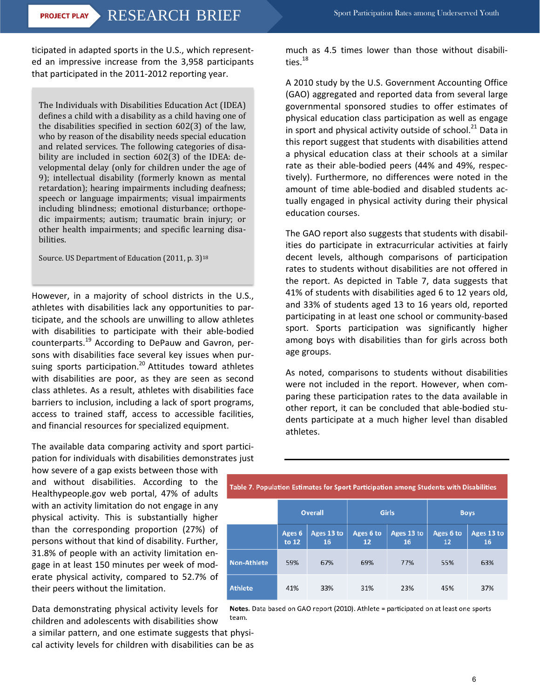ticipated in adapted sports in the U.S., which represent‐ ed an impressive increase from the 3,958 participants that participated in the 2011‐2012 reporting year.

The Individuals with Disabilities Education Act (IDEA) defines a child with a disability as a child having one of the disabilities specified in section  $602(3)$  of the law, who by reason of the disability needs special education and related services. The following categories of disability are included in section 602(3) of the IDEA: developmental delay (only for children under the age of 9); intellectual disability (formerly known as mental retardation); hearing impairments including deafness; speech or language impairments; visual impairments including blindness; emotional disturbance; orthopedic impairments; autism; traumatic brain injury; or other health impairments; and specific learning disabilities. 

Source. US Department of Education  $(2011, p. 3)$ <sup>18</sup>

However, in a majority of school districts in the U.S., athletes with disabilities lack any opportunities to par‐ ticipate, and the schools are unwilling to allow athletes with disabilities to participate with their able‐bodied counterparts.<sup>19</sup> According to DePauw and Gavron, per‐ sons with disabilities face several key issues when pur‐ suing sports participation.<sup>20</sup> Attitudes toward athletes with disabilities are poor, as they are seen as second class athletes. As a result, athletes with disabilities face barriers to inclusion, including a lack of sport programs, access to trained staff, access to accessible facilities, and financial resources for specialized equipment.

The available data comparing activity and sport partici‐ pation for individuals with disabilities demonstrates just

how severe of a gap exists between those with and without disabilities. According to the Healthypeople.gov web portal, 47% of adults with an activity limitation do not engage in any physical activity. This is substantially higher than the corresponding proportion (27%) of persons without that kind of disability. Further, 31.8% of people with an activity limitation en‐ gage in at least 150 minutes per week of mod‐ erate physical activity, compared to 52.7% of their peers without the limitation.

Data demonstrating physical activity levels for children and adolescents with disabilities show

a similar pattern, and one estimate suggests that physi‐ cal activity levels for children with disabilities can be as

much as 4.5 times lower than those without disabili‐ ties. $18$ 

A 2010 study by the U.S. Government Accounting Office (GAO) aggregated and reported data from several large governmental sponsored studies to offer estimates of physical education class participation as well as engage in sport and physical activity outside of school. $^{21}$  Data in this report suggest that students with disabilities attend a physical education class at their schools at a similar rate as their able‐bodied peers (44% and 49%, respec‐ tively). Furthermore, no differences were noted in the amount of time able‐bodied and disabled students ac‐ tually engaged in physical activity during their physical education courses.

The GAO report also suggests that students with disabil‐ ities do participate in extracurricular activities at fairly decent levels, although comparisons of participation rates to students without disabilities are not offered in the report. As depicted in Table 7, data suggests that 41% of students with disabilities aged 6 to 12 years old, and 33% of students aged 13 to 16 years old, reported participating in at least one school or community‐based sport. Sports participation was significantly higher among boys with disabilities than for girls across both age groups.

As noted, comparisons to students without disabilities were not included in the report. However, when com‐ paring these participation rates to the data available in other report, it can be concluded that able‐bodied stu‐ dents participate at a much higher level than disabled athletes.

|  | able 7. Population Estimates for Sport Participation among Students with Disabilities |  |
|--|---------------------------------------------------------------------------------------|--|
|--|---------------------------------------------------------------------------------------|--|

|                    | <b>Overall</b>  |                  | <b>Girls</b>    |                  | <b>Boys</b>     |                  |
|--------------------|-----------------|------------------|-----------------|------------------|-----------------|------------------|
|                    | Ages 6<br>to 12 | Ages 13 to<br>16 | Ages 6 to<br>12 | Ages 13 to<br>16 | Ages 6 to<br>12 | Ages 13 to<br>16 |
| <b>Non-Athlete</b> | 59%             | 67%              | 69%             | 77%              | 55%             | 63%              |
| <b>Athlete</b>     | 41%             | 33%              | 31%             | 23%              | 45%             | 37%              |

Notes. Data based on GAO report (2010). Athlete = participated on at least one sports team.